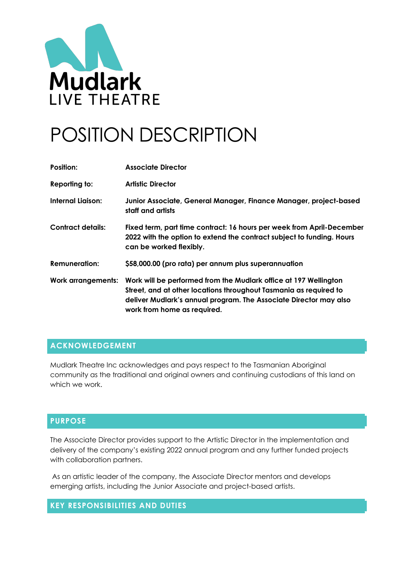

# POSITION DESCRIPTION

| Position:                 | <b>Associate Director</b>                                                                                                                                                                                                                 |
|---------------------------|-------------------------------------------------------------------------------------------------------------------------------------------------------------------------------------------------------------------------------------------|
| Reporting to:             | <b>Artistic Director</b>                                                                                                                                                                                                                  |
| <b>Internal Liaison:</b>  | Junior Associate, General Manager, Finance Manager, project-based<br>staff and artists                                                                                                                                                    |
| <b>Contract details:</b>  | Fixed term, part time contract: 16 hours per week from April-December<br>2022 with the option to extend the contract subject to funding. Hours<br>can be worked flexibly.                                                                 |
| <b>Remuneration:</b>      | \$58,000.00 (pro rata) per annum plus superannuation                                                                                                                                                                                      |
| <b>Work arrangements:</b> | Work will be performed from the Mudlark office at 197 Wellington<br>Street, and at other locations throughout Tasmania as required to<br>deliver Mudlark's annual program. The Associate Director may also<br>work from home as required. |

## **ACKNOWLEDGEMENT**

Mudlark Theatre Inc acknowledges and pays respect to the Tasmanian Aboriginal community as the traditional and original owners and continuing custodians of this land on which we work.

#### **PURPOSE**

The Associate Director provides support to the Artistic Director in the implementation and delivery of the company's existing 2022 annual program and any further funded projects with collaboration partners.

As an artistic leader of the company, the Associate Director mentors and develops emerging artists, including the Junior Associate and project-based artists.

#### **KEY RESPONSIBILITIES AND DUTIES**